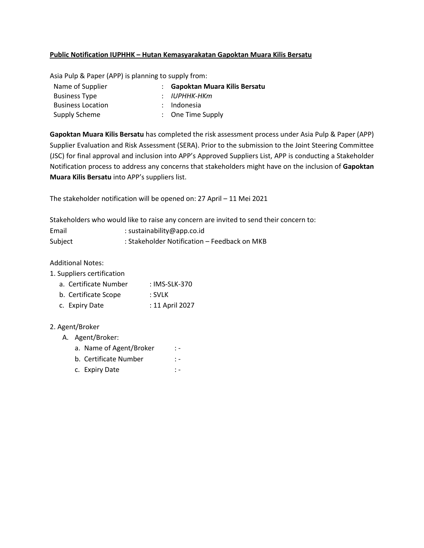## **Public Notification IUPHHK – Hutan Kemasyarakatan Gapoktan Muara Kilis Bersatu**

Asia Pulp & Paper (APP) is planning to supply from:

| : Gapoktan Muara Kilis Bersatu |
|--------------------------------|
| : ІОРННК-НКт                   |
| : Indonesia                    |
| $\therefore$ One Time Supply   |
|                                |

**Gapoktan Muara Kilis Bersatu** has completed the risk assessment process under Asia Pulp & Paper (APP) Supplier Evaluation and Risk Assessment (SERA). Prior to the submission to the Joint Steering Committee (JSC) for final approval and inclusion into APP's Approved Suppliers List, APP is conducting a Stakeholder Notification process to address any concerns that stakeholders might have on the inclusion of **Gapoktan Muara Kilis Bersatu** into APP's suppliers list.

The stakeholder notification will be opened on: 27 April – 11 Mei 2021

Stakeholders who would like to raise any concern are invited to send their concern to:

| Email   | : sustainability@app.co.id                   |
|---------|----------------------------------------------|
| Subject | : Stakeholder Notification - Feedback on MKB |

Additional Notes:

- 1. Suppliers certification
	- a. Certificate Number : IMS-SLK-370
	- b. Certificate Scope : SVLK
	- c. Expiry Date : 11 April 2027

## 2. Agent/Broker

A. Agent/Broker:

|  | a. Name of Agent/Broker |  |
|--|-------------------------|--|
|--|-------------------------|--|

- b. Certificate Number : -
- c. Expiry Date : -